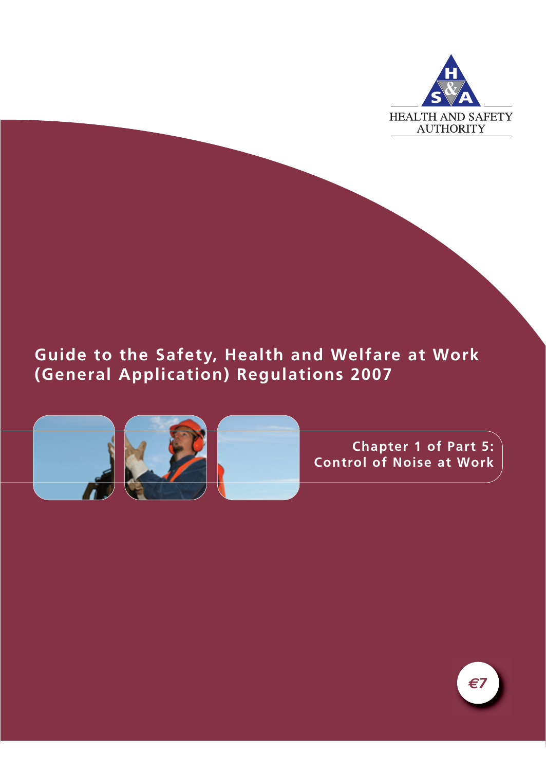

## **Guide to the Safety, Health and Welfare at Work (General Application) Regulations 2007**



**Chapter 1 of Part 5: Control of Noise at Work**

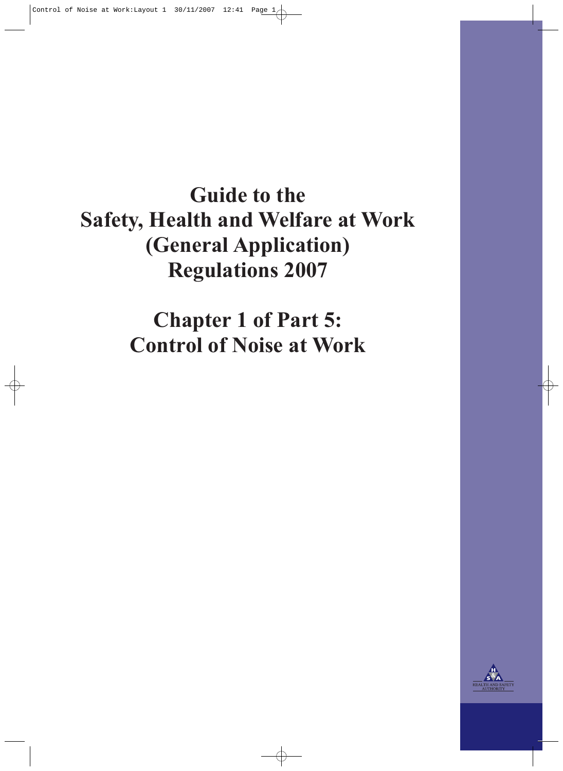# **Guide to the Safety, Health and Welfare at Work (General Application) Regulations 2007**

**Chapter 1 of Part 5: Control of Noise at Work**

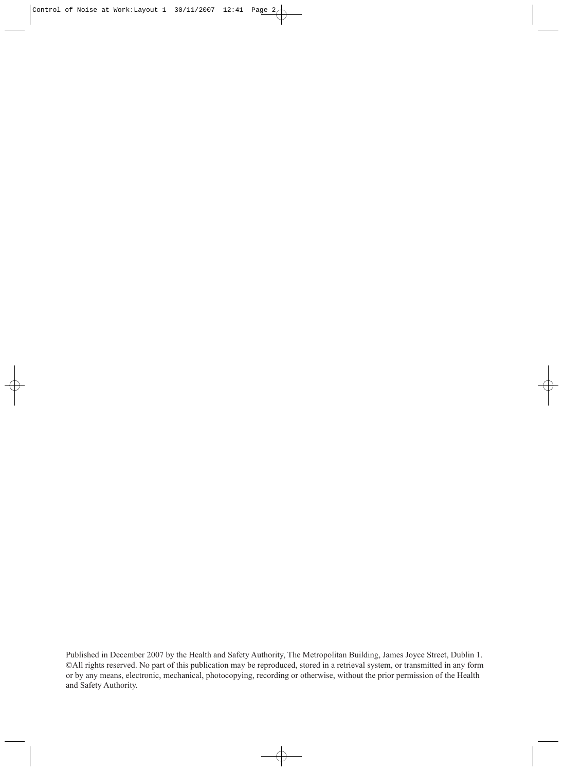Published in December 2007 by the Health and Safety Authority, The Metropolitan Building, James Joyce Street, Dublin 1. ©All rights reserved. No part of this publication may be reproduced, stored in a retrieval system, or transmitted in any form or by any means, electronic, mechanical, photocopying, recording or otherwise, without the prior permission of the Health and Safety Authority.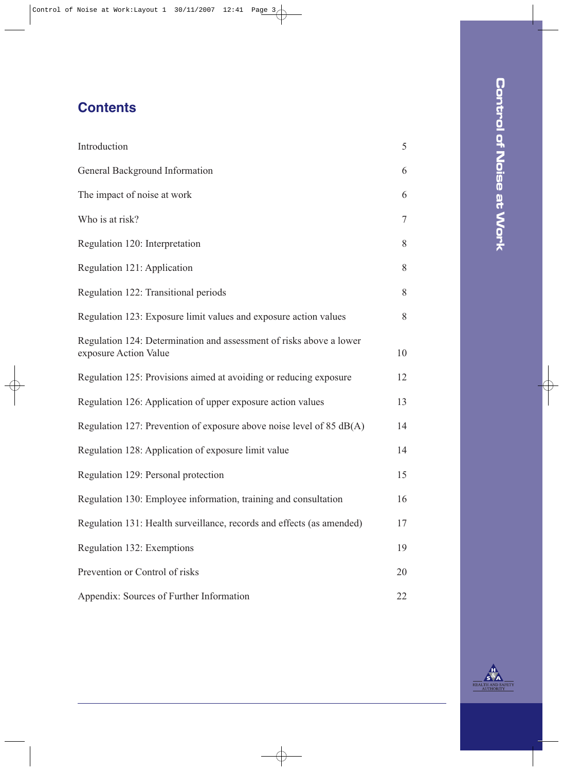## **Contents**

| Introduction                                                                                 | 5              |
|----------------------------------------------------------------------------------------------|----------------|
| General Background Information                                                               | 6              |
| The impact of noise at work                                                                  | 6              |
| Who is at risk?                                                                              | $\overline{7}$ |
| Regulation 120: Interpretation                                                               | 8              |
| Regulation 121: Application                                                                  | 8              |
| Regulation 122: Transitional periods                                                         | 8              |
| Regulation 123: Exposure limit values and exposure action values                             | 8              |
| Regulation 124: Determination and assessment of risks above a lower<br>exposure Action Value | 10             |
| Regulation 125: Provisions aimed at avoiding or reducing exposure                            | 12             |
| Regulation 126: Application of upper exposure action values                                  | 13             |
| Regulation 127: Prevention of exposure above noise level of 85 $dB(A)$                       | 14             |
| Regulation 128: Application of exposure limit value                                          | 14             |
| Regulation 129: Personal protection                                                          | 15             |
| Regulation 130: Employee information, training and consultation                              | 16             |
| Regulation 131: Health surveillance, records and effects (as amended)                        | 17             |
| Regulation 132: Exemptions                                                                   | 19             |
| Prevention or Control of risks                                                               | 20             |
| Appendix: Sources of Further Information                                                     | 22             |

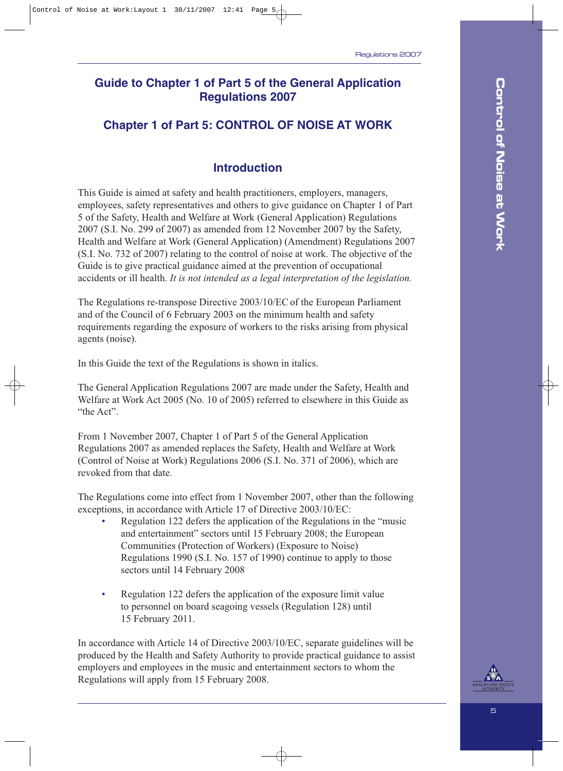## **Guide to Chapter 1 of Part 5 of the General Application Regulations 2007**

#### **Chapter 1 of Part 5: CONTROL OF NOISE AT WORK**

#### **Introduction**

This Guide is aimed at safety and health practitioners, employers, managers, employees, safety representatives and others to give guidance on Chapter 1 of Part 5 of the Safety, Health and Welfare at Work (General Application) Regulations 2007 (S.I. No. 299 of 2007) as amended from 12 November 2007 by the Safety, Health and Welfare at Work (General Application) (Amendment) Regulations 2007 (S.I. No. 732 of 2007) relating to the control of noise at work. The objective of the Guide is to give practical guidance aimed at the prevention of occupational accidents or ill health. *It is not intended as a legal interpretation of the legislation.*

The Regulations re-transpose Directive 2003/10/EC of the European Parliament and of the Council of 6 February 2003 on the minimum health and safety requirements regarding the exposure of workers to the risks arising from physical agents (noise).

In this Guide the text of the Regulations is shown in italics.

The General Application Regulations 2007 are made under the Safety, Health and Welfare at Work Act 2005 (No. 10 of 2005) referred to elsewhere in this Guide as "the Act".

From 1 November 2007, Chapter 1 of Part 5 of the General Application Regulations 2007 as amended replaces the Safety, Health and Welfare at Work (Control of Noise at Work) Regulations 2006 (S.I. No. 371 of 2006), which are revoked from that date.

The Regulations come into effect from 1 November 2007, other than the following exceptions, in accordance with Article 17 of Directive 2003/10/EC:

- Regulation 122 defers the application of the Regulations in the "music and entertainment" sectors until 15 February 2008; the European Communities (Protection of Workers) (Exposure to Noise) Regulations 1990 (S.I. No. 157 of 1990) continue to apply to those sectors until 14 February 2008
- Regulation 122 defers the application of the exposure limit value to personnel on board seagoing vessels (Regulation 128) until 15 February 2011.

In accordance with Article 14 of Directive 2003/10/EC, separate guidelines will be produced by the Health and Safety Authority to provide practical guidance to assist employers and employees in the music and entertainment sectors to whom the Regulations will apply from 15 February 2008.

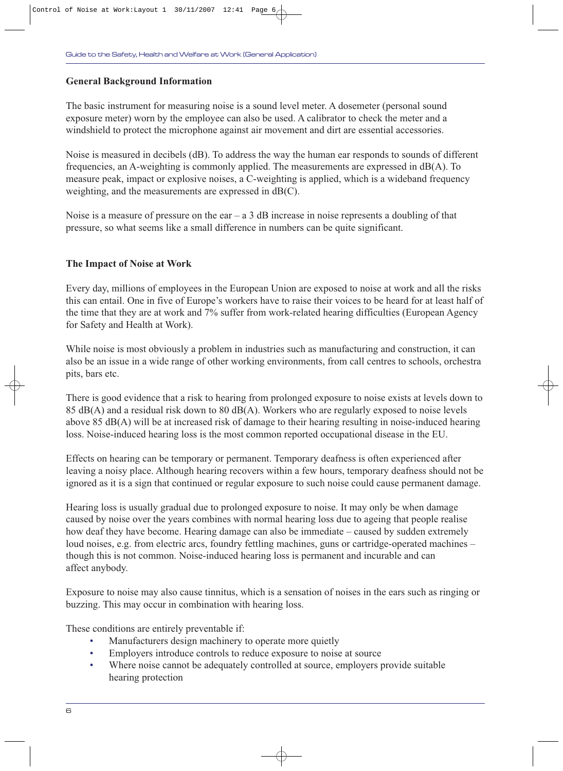#### **General Background Information**

The basic instrument for measuring noise is a sound level meter. A dosemeter (personal sound exposure meter) worn by the employee can also be used. A calibrator to check the meter and a windshield to protect the microphone against air movement and dirt are essential accessories.

Noise is measured in decibels (dB). To address the way the human ear responds to sounds of different frequencies, an A-weighting is commonly applied. The measurements are expressed in dB(A). To measure peak, impact or explosive noises, a C-weighting is applied, which is a wideband frequency weighting, and the measurements are expressed in dB(C).

Noise is a measure of pressure on the ear  $-$  a 3 dB increase in noise represents a doubling of that pressure, so what seems like a small difference in numbers can be quite significant.

#### **The Impact of Noise at Work**

Every day, millions of employees in the European Union are exposed to noise at work and all the risks this can entail. One in five of Europe's workers have to raise their voices to be heard for at least half of the time that they are at work and 7% suffer from work-related hearing difficulties (European Agency for Safety and Health at Work).

While noise is most obviously a problem in industries such as manufacturing and construction, it can also be an issue in a wide range of other working environments, from call centres to schools, orchestra pits, bars etc.

There is good evidence that a risk to hearing from prolonged exposure to noise exists at levels down to 85 dB(A) and a residual risk down to 80 dB(A). Workers who are regularly exposed to noise levels above 85 dB(A) will be at increased risk of damage to their hearing resulting in noise-induced hearing loss. Noise-induced hearing loss is the most common reported occupational disease in the EU.

Effects on hearing can be temporary or permanent. Temporary deafness is often experienced after leaving a noisy place. Although hearing recovers within a few hours, temporary deafness should not be ignored as it is a sign that continued or regular exposure to such noise could cause permanent damage.

Hearing loss is usually gradual due to prolonged exposure to noise. It may only be when damage caused by noise over the years combines with normal hearing loss due to ageing that people realise how deaf they have become. Hearing damage can also be immediate – caused by sudden extremely loud noises, e.g. from electric arcs, foundry fettling machines, guns or cartridge-operated machines – though this is not common. Noise-induced hearing loss is permanent and incurable and can affect anybody.

Exposure to noise may also cause tinnitus, which is a sensation of noises in the ears such as ringing or buzzing. This may occur in combination with hearing loss.

These conditions are entirely preventable if:

- Manufacturers design machinery to operate more quietly
- Employers introduce controls to reduce exposure to noise at source
- Where noise cannot be adequately controlled at source, employers provide suitable hearing protection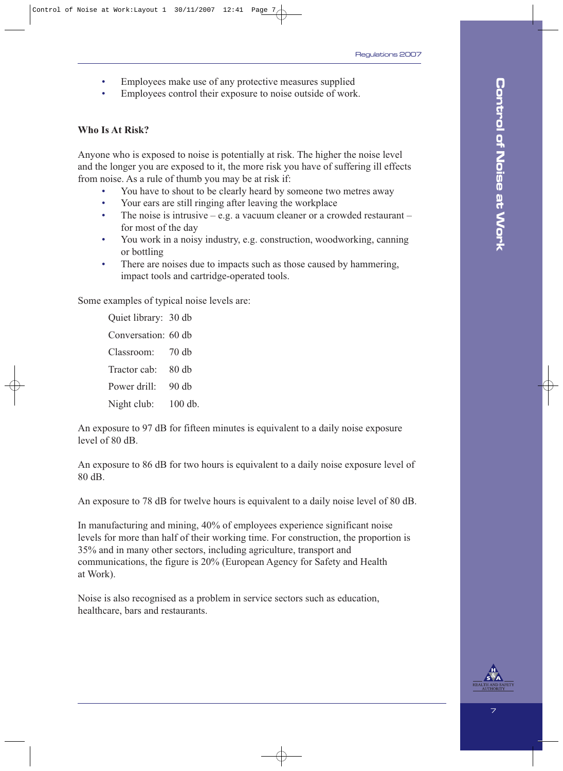- Employees make use of any protective measures supplied
- Employees control their exposure to noise outside of work.

#### **Who Is At Risk?**

Anyone who is exposed to noise is potentially at risk. The higher the noise level and the longer you are exposed to it, the more risk you have of suffering ill effects from noise. As a rule of thumb you may be at risk if:

- You have to shout to be clearly heard by someone two metres away
- Your ears are still ringing after leaving the workplace
- The noise is intrusive e.g. a vacuum cleaner or a crowded restaurant for most of the day
- You work in a noisy industry, e.g. construction, woodworking, canning or bottling
- There are noises due to impacts such as those caused by hammering, impact tools and cartridge-operated tools.

Some examples of typical noise levels are:

Quiet library: 30 db Conversation: 60 db Classroom: 70 db Tractor cab: 80 db Power drill: 90 db Night club: 100 db.

An exposure to 97 dB for fifteen minutes is equivalent to a daily noise exposure level of 80 dB.

An exposure to 86 dB for two hours is equivalent to a daily noise exposure level of 80 dB.

An exposure to 78 dB for twelve hours is equivalent to a daily noise level of 80 dB.

In manufacturing and mining, 40% of employees experience significant noise levels for more than half of their working time. For construction, the proportion is 35% and in many other sectors, including agriculture, transport and communications, the figure is 20% (European Agency for Safety and Health at Work).

Noise is also recognised as a problem in service sectors such as education, healthcare, bars and restaurants.

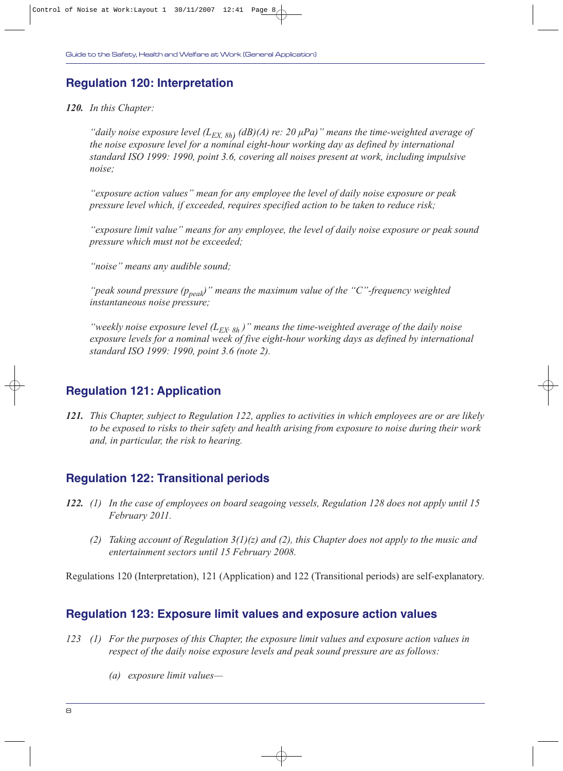#### **Regulation 120: Interpretation**

*120. In this Chapter:*

*"daily noise exposure level* (L<sub>EX, 8h</sub>) (dB)(A) re: 20 μPa)" means the time-weighted average of *the noise exposure level for a nominal eight-hour working day as defined by international standard ISO 1999: 1990, point 3.6, covering all noises present at work, including impulsive noise;* 

*"exposure action values" mean for any employee the level of daily noise exposure or peak pressure level which, if exceeded, requires specified action to be taken to reduce risk;*

*"exposure limit value" means for any employee, the level of daily noise exposure or peak sound pressure which must not be exceeded;*

*"noise" means any audible sound;*

*"peak sound pressure (ppeak)" means the maximum value of the "C"-frequency weighted instantaneous noise pressure;*

*"weekly noise exposure level* ( $L_{EX, 8h}$ )" means the time-weighted average of the daily noise *exposure levels for a nominal week of five eight-hour working days as defined by international standard ISO 1999: 1990, point 3.6 (note 2).*

#### **Regulation 121: Application**

*121. This Chapter, subject to Regulation 122, applies to activities in which employees are or are likely to be exposed to risks to their safety and health arising from exposure to noise during their work and, in particular, the risk to hearing.*

#### **Regulation 122: Transitional periods**

- *122. (1) In the case of employees on board seagoing vessels, Regulation 128 does not apply until 15 February 2011.*
	- *(2) Taking account of Regulation 3(1)(z) and (2), this Chapter does not apply to the music and entertainment sectors until 15 February 2008.*

Regulations 120 (Interpretation), 121 (Application) and 122 (Transitional periods) are self-explanatory.

#### **Regulation 123: Exposure limit values and exposure action values**

- *123 (1) For the purposes of this Chapter, the exposure limit values and exposure action values in respect of the daily noise exposure levels and peak sound pressure are as follows:*
	- *(a) exposure limit values—*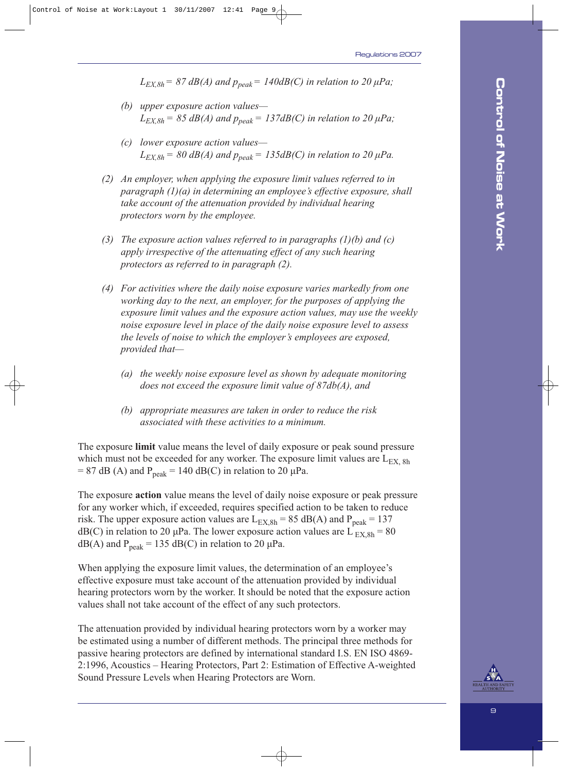$L_{EX,8h}$  = 87 dB(A) and  $p_{peak}$  = 140dB(C) in relation to 20  $\mu$ Pa;

- *(b) upper exposure action values—*  $L_{EX,8h}$  = 85 dB(A) and  $p_{peak}$  = 137dB(C) in relation to 20  $\mu$ Pa;
- *(c) lower exposure action values—*  $L_{EX,8h}$  = 80 dB(A) and  $p_{peak}$  = 135dB(C) in relation to 20  $\mu$ Pa.
- *(2) An employer, when applying the exposure limit values referred to in paragraph (1)(a) in determining an employee's effective exposure, shall take account of the attenuation provided by individual hearing protectors worn by the employee.*
- *(3) The exposure action values referred to in paragraphs (1)(b) and (c) apply irrespective of the attenuating effect of any such hearing protectors as referred to in paragraph (2).*
- *(4) For activities where the daily noise exposure varies markedly from one working day to the next, an employer, for the purposes of applying the exposure limit values and the exposure action values, may use the weekly noise exposure level in place of the daily noise exposure level to assess the levels of noise to which the employer's employees are exposed, provided that—*
	- *(a) the weekly noise exposure level as shown by adequate monitoring does not exceed the exposure limit value of 87db(A), and*
	- *(b) appropriate measures are taken in order to reduce the risk associated with these activities to a minimum.*

The exposure **limit** value means the level of daily exposure or peak sound pressure which must not be exceeded for any worker. The exposure limit values are  $L_{EX, Sh}$ = 87 dB (A) and  $P_{\text{peak}}$  = 140 dB(C) in relation to 20  $\mu$ Pa.

The exposure **action** value means the level of daily noise exposure or peak pressure for any worker which, if exceeded, requires specified action to be taken to reduce risk. The upper exposure action values are  $L_{\text{EX,}8h} = 85 \text{ dB}(A)$  and  $P_{\text{peak}} = 137$ dB(C) in relation to 20 µPa. The lower exposure action values are  $L_{EX,8h} = 80$  $dB(A)$  and  $P_{peak} = 135$  dB(C) in relation to 20 µPa.

When applying the exposure limit values, the determination of an employee's effective exposure must take account of the attenuation provided by individual hearing protectors worn by the worker. It should be noted that the exposure action values shall not take account of the effect of any such protectors.

The attenuation provided by individual hearing protectors worn by a worker may be estimated using a number of different methods. The principal three methods for passive hearing protectors are defined by international standard I.S. EN ISO 4869- 2:1996, Acoustics – Hearing Protectors, Part 2: Estimation of Effective A-weighted Sound Pressure Levels when Hearing Protectors are Worn.

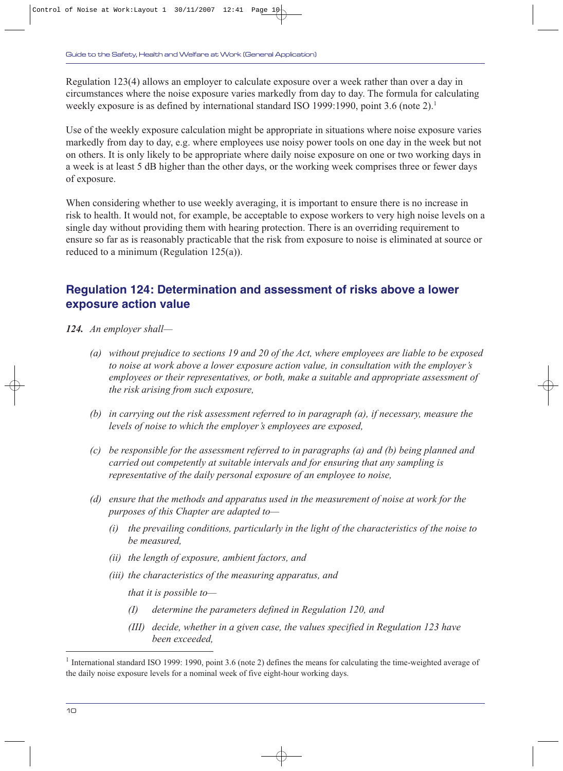Regulation 123(4) allows an employer to calculate exposure over a week rather than over a day in circumstances where the noise exposure varies markedly from day to day. The formula for calculating weekly exposure is as defined by international standard ISO 1999:1990, point 3.6 (note 2).<sup>1</sup>

Use of the weekly exposure calculation might be appropriate in situations where noise exposure varies markedly from day to day, e.g. where employees use noisy power tools on one day in the week but not on others. It is only likely to be appropriate where daily noise exposure on one or two working days in a week is at least 5 dB higher than the other days, or the working week comprises three or fewer days of exposure.

When considering whether to use weekly averaging, it is important to ensure there is no increase in risk to health. It would not, for example, be acceptable to expose workers to very high noise levels on a single day without providing them with hearing protection. There is an overriding requirement to ensure so far as is reasonably practicable that the risk from exposure to noise is eliminated at source or reduced to a minimum (Regulation 125(a)).

#### **Regulation 124: Determination and assessment of risks above a lower exposure action value**

- *124. An employer shall—*
	- *(a) without prejudice to sections 19 and 20 of the Act, where employees are liable to be exposed to noise at work above a lower exposure action value, in consultation with the employer's employees or their representatives, or both, make a suitable and appropriate assessment of the risk arising from such exposure,*
	- *(b) in carrying out the risk assessment referred to in paragraph (a), if necessary, measure the levels of noise to which the employer's employees are exposed,*
	- *(c) be responsible for the assessment referred to in paragraphs (a) and (b) being planned and carried out competently at suitable intervals and for ensuring that any sampling is representative of the daily personal exposure of an employee to noise,*
	- *(d) ensure that the methods and apparatus used in the measurement of noise at work for the purposes of this Chapter are adapted to—*
		- *(i) the prevailing conditions, particularly in the light of the characteristics of the noise to be measured,*
		- *(ii) the length of exposure, ambient factors, and*
		- *(iii) the characteristics of the measuring apparatus, and*

*that it is possible to—*

- *(I) determine the parameters defined in Regulation 120, and*
- *(III) decide, whether in a given case, the values specified in Regulation 123 have been exceeded,*

<sup>&</sup>lt;sup>1</sup> International standard ISO 1999: 1990, point 3.6 (note 2) defines the means for calculating the time-weighted average of the daily noise exposure levels for a nominal week of five eight-hour working days.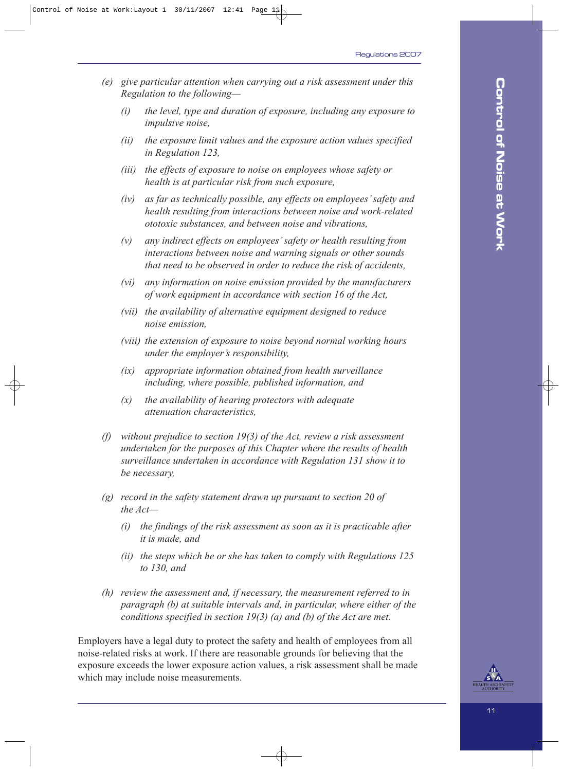- *(e) give particular attention when carrying out a risk assessment under this Regulation to the following—*
	- *(i) the level, type and duration of exposure, including any exposure to impulsive noise,*
	- *(ii) the exposure limit values and the exposure action values specified in Regulation 123,*
	- *(iii) the effects of exposure to noise on employees whose safety or health is at particular risk from such exposure,*
	- *(iv) as far as technically possible, any effects on employees' safety and health resulting from interactions between noise and work-related ototoxic substances, and between noise and vibrations,*
	- *(v) any indirect effects on employees' safety or health resulting from interactions between noise and warning signals or other sounds that need to be observed in order to reduce the risk of accidents,*
	- *(vi) any information on noise emission provided by the manufacturers of work equipment in accordance with section 16 of the Act,*
	- *(vii) the availability of alternative equipment designed to reduce noise emission,*
	- *(viii) the extension of exposure to noise beyond normal working hours under the employer's responsibility,*
	- *(ix) appropriate information obtained from health surveillance including, where possible, published information, and*
	- *(x) the availability of hearing protectors with adequate attenuation characteristics,*
- *(f) without prejudice to section 19(3) of the Act, review a risk assessment undertaken for the purposes of this Chapter where the results of health surveillance undertaken in accordance with Regulation 131 show it to be necessary,*
- *(g) record in the safety statement drawn up pursuant to section 20 of the Act—*
	- *(i) the findings of the risk assessment as soon as it is practicable after it is made, and*
	- *(ii) the steps which he or she has taken to comply with Regulations 125 to 130, and*
- *(h) review the assessment and, if necessary, the measurement referred to in paragraph (b) at suitable intervals and, in particular, where either of the conditions specified in section 19(3) (a) and (b) of the Act are met.*

Employers have a legal duty to protect the safety and health of employees from all noise-related risks at work. If there are reasonable grounds for believing that the exposure exceeds the lower exposure action values, a risk assessment shall be made which may include noise measurements.

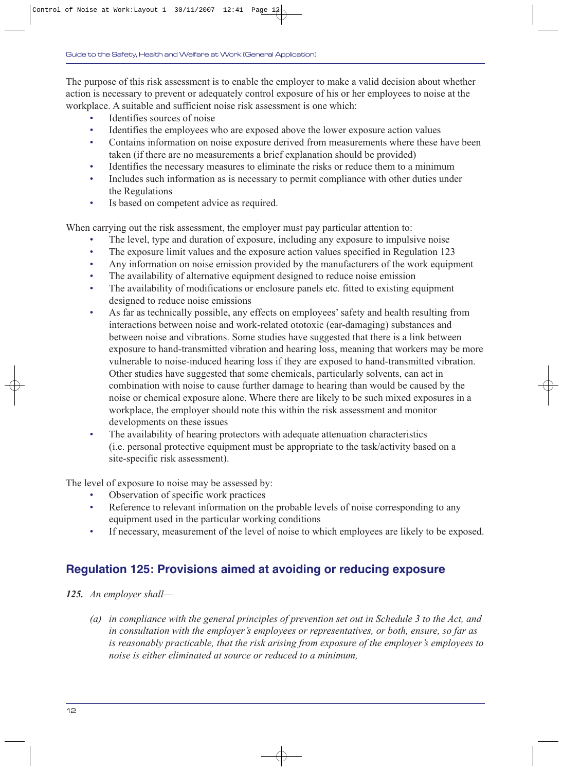The purpose of this risk assessment is to enable the employer to make a valid decision about whether action is necessary to prevent or adequately control exposure of his or her employees to noise at the workplace. A suitable and sufficient noise risk assessment is one which:

- Identifies sources of noise
- Identifies the employees who are exposed above the lower exposure action values
- Contains information on noise exposure derived from measurements where these have been taken (if there are no measurements a brief explanation should be provided)
- Identifies the necessary measures to eliminate the risks or reduce them to a minimum
- Includes such information as is necessary to permit compliance with other duties under the Regulations
- Is based on competent advice as required.

When carrying out the risk assessment, the employer must pay particular attention to:

- The level, type and duration of exposure, including any exposure to impulsive noise
- The exposure limit values and the exposure action values specified in Regulation 123
- Any information on noise emission provided by the manufacturers of the work equipment
- The availability of alternative equipment designed to reduce noise emission
- The availability of modifications or enclosure panels etc. fitted to existing equipment designed to reduce noise emissions
- As far as technically possible, any effects on employees' safety and health resulting from interactions between noise and work-related ototoxic (ear-damaging) substances and between noise and vibrations. Some studies have suggested that there is a link between exposure to hand-transmitted vibration and hearing loss, meaning that workers may be more vulnerable to noise-induced hearing loss if they are exposed to hand-transmitted vibration. Other studies have suggested that some chemicals, particularly solvents, can act in combination with noise to cause further damage to hearing than would be caused by the noise or chemical exposure alone. Where there are likely to be such mixed exposures in a workplace, the employer should note this within the risk assessment and monitor developments on these issues
- The availability of hearing protectors with adequate attenuation characteristics (i.e. personal protective equipment must be appropriate to the task/activity based on a site-specific risk assessment).

The level of exposure to noise may be assessed by:

- Observation of specific work practices
- Reference to relevant information on the probable levels of noise corresponding to any equipment used in the particular working conditions
- If necessary, measurement of the level of noise to which employees are likely to be exposed.

## **Regulation 125: Provisions aimed at avoiding or reducing exposure**

*125. An employer shall—*

*(a) in compliance with the general principles of prevention set out in Schedule 3 to the Act, and in consultation with the employer's employees or representatives, or both, ensure, so far as is reasonably practicable, that the risk arising from exposure of the employer's employees to noise is either eliminated at source or reduced to a minimum,*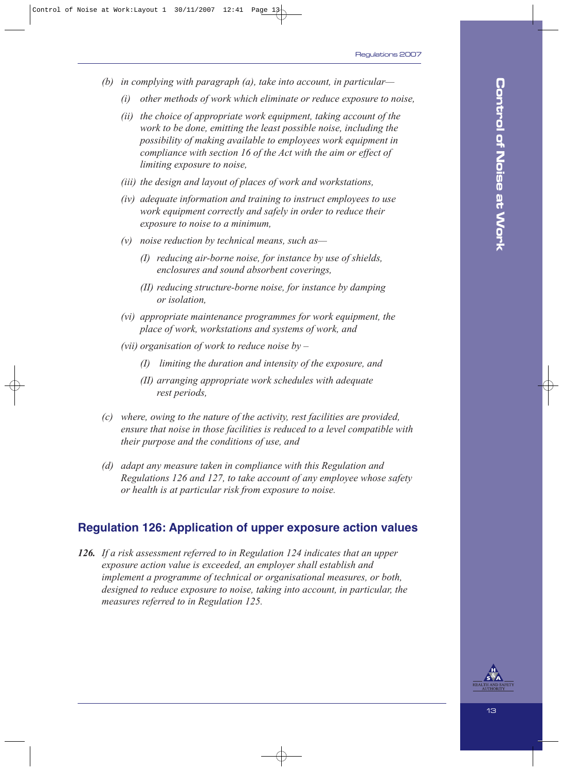- *(b) in complying with paragraph (a), take into account, in particular—*
	- *(i) other methods of work which eliminate or reduce exposure to noise,*
	- *(ii) the choice of appropriate work equipment, taking account of the work to be done, emitting the least possible noise, including the possibility of making available to employees work equipment in compliance with section 16 of the Act with the aim or effect of limiting exposure to noise,*
	- *(iii) the design and layout of places of work and workstations,*
	- *(iv) adequate information and training to instruct employees to use work equipment correctly and safely in order to reduce their exposure to noise to a minimum,*
	- *(v) noise reduction by technical means, such as—*
		- *(I) reducing air-borne noise, for instance by use of shields, enclosures and sound absorbent coverings,*
		- *(II) reducing structure-borne noise, for instance by damping or isolation,*
	- *(vi) appropriate maintenance programmes for work equipment, the place of work, workstations and systems of work, and*
	- *(vii) organisation of work to reduce noise by –*
		- *(I) limiting the duration and intensity of the exposure, and*
		- *(II) arranging appropriate work schedules with adequate rest periods,*
- *(c) where, owing to the nature of the activity, rest facilities are provided, ensure that noise in those facilities is reduced to a level compatible with their purpose and the conditions of use, and*
- *(d) adapt any measure taken in compliance with this Regulation and Regulations 126 and 127, to take account of any employee whose safety or health is at particular risk from exposure to noise.*

#### **Regulation 126: Application of upper exposure action values**

*126. If a risk assessment referred to in Regulation 124 indicates that an upper exposure action value is exceeded, an employer shall establish and implement a programme of technical or organisational measures, or both, designed to reduce exposure to noise, taking into account, in particular, the measures referred to in Regulation 125.*

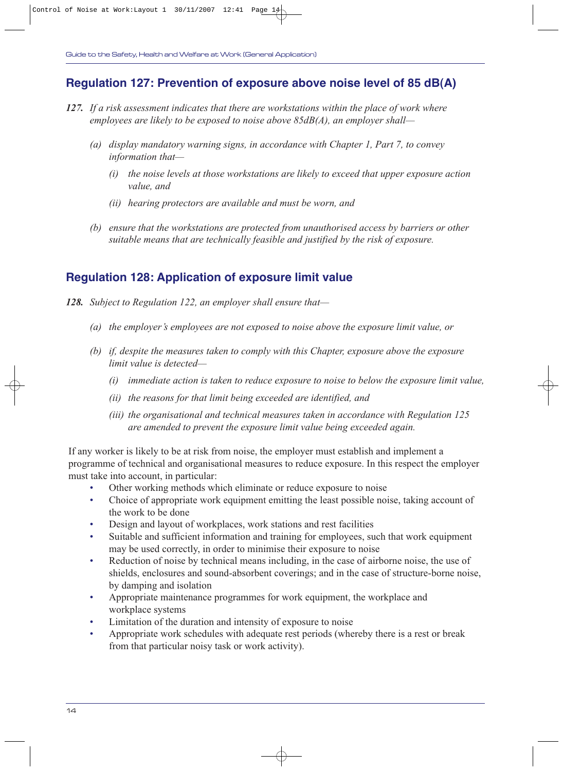#### **Regulation 127: Prevention of exposure above noise level of 85 dB(A)**

- *127. If a risk assessment indicates that there are workstations within the place of work where employees are likely to be exposed to noise above 85dB(A), an employer shall—*
	- *(a) display mandatory warning signs, in accordance with Chapter 1, Part 7, to convey information that—*
		- *(i) the noise levels at those workstations are likely to exceed that upper exposure action value, and*
		- *(ii) hearing protectors are available and must be worn, and*
	- *(b) ensure that the workstations are protected from unauthorised access by barriers or other suitable means that are technically feasible and justified by the risk of exposure.*

#### **Regulation 128: Application of exposure limit value**

- *128. Subject to Regulation 122, an employer shall ensure that—*
	- *(a) the employer's employees are not exposed to noise above the exposure limit value, or*
	- *(b) if, despite the measures taken to comply with this Chapter, exposure above the exposure limit value is detected—*
		- *(i) immediate action is taken to reduce exposure to noise to below the exposure limit value,*
		- *(ii) the reasons for that limit being exceeded are identified, and*
		- *(iii) the organisational and technical measures taken in accordance with Regulation 125 are amended to prevent the exposure limit value being exceeded again.*

If any worker is likely to be at risk from noise, the employer must establish and implement a programme of technical and organisational measures to reduce exposure. In this respect the employer must take into account, in particular:

- Other working methods which eliminate or reduce exposure to noise
- Choice of appropriate work equipment emitting the least possible noise, taking account of the work to be done
- Design and layout of workplaces, work stations and rest facilities
- Suitable and sufficient information and training for employees, such that work equipment may be used correctly, in order to minimise their exposure to noise
- Reduction of noise by technical means including, in the case of airborne noise, the use of shields, enclosures and sound-absorbent coverings; and in the case of structure-borne noise, by damping and isolation
- Appropriate maintenance programmes for work equipment, the workplace and workplace systems
- Limitation of the duration and intensity of exposure to noise
- Appropriate work schedules with adequate rest periods (whereby there is a rest or break from that particular noisy task or work activity).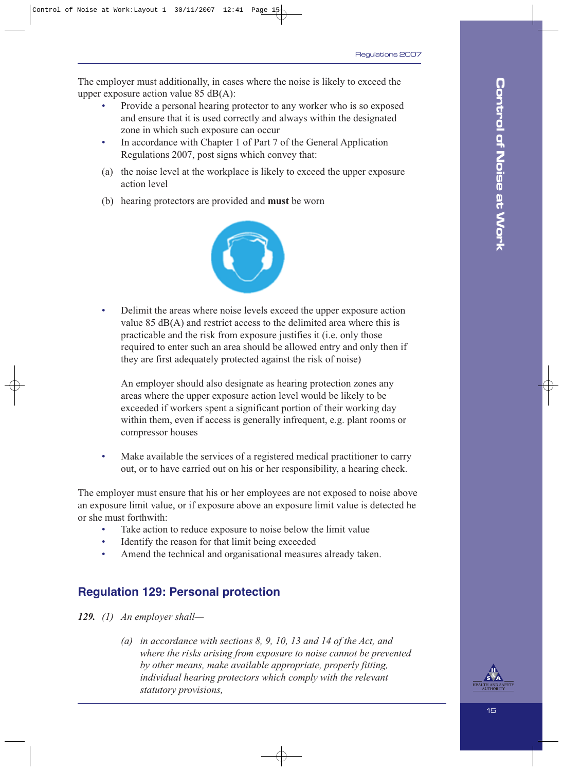The employer must additionally, in cases where the noise is likely to exceed the upper exposure action value 85 dB(A):

- Provide a personal hearing protector to any worker who is so exposed and ensure that it is used correctly and always within the designated zone in which such exposure can occur
- In accordance with Chapter 1 of Part 7 of the General Application Regulations 2007, post signs which convey that:
- (a) the noise level at the workplace is likely to exceed the upper exposure action level
- (b) hearing protectors are provided and **must** be worn



• Delimit the areas where noise levels exceed the upper exposure action value 85 dB(A) and restrict access to the delimited area where this is practicable and the risk from exposure justifies it (i.e. only those required to enter such an area should be allowed entry and only then if they are first adequately protected against the risk of noise)

An employer should also designate as hearing protection zones any areas where the upper exposure action level would be likely to be exceeded if workers spent a significant portion of their working day within them, even if access is generally infrequent, e.g. plant rooms or compressor houses

Make available the services of a registered medical practitioner to carry out, or to have carried out on his or her responsibility, a hearing check.

The employer must ensure that his or her employees are not exposed to noise above an exposure limit value, or if exposure above an exposure limit value is detected he or she must forthwith:

- Take action to reduce exposure to noise below the limit value
- Identify the reason for that limit being exceeded
- Amend the technical and organisational measures already taken.

## **Regulation 129: Personal protection**

*129. (1) An employer shall—*

*(a) in accordance with sections 8, 9, 10, 13 and 14 of the Act, and where the risks arising from exposure to noise cannot be prevented by other means, make available appropriate, properly fitting, individual hearing protectors which comply with the relevant statutory provisions,*

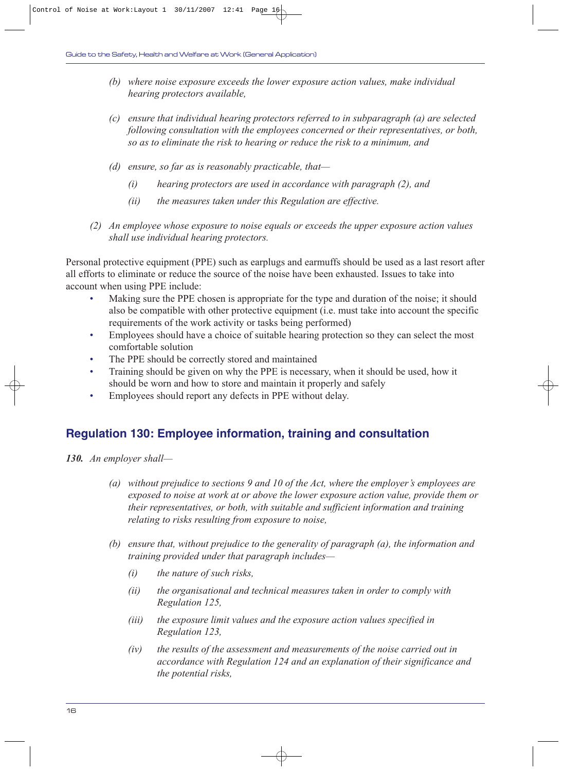- *(b) where noise exposure exceeds the lower exposure action values, make individual hearing protectors available,*
- *(c) ensure that individual hearing protectors referred to in subparagraph (a) are selected following consultation with the employees concerned or their representatives, or both, so as to eliminate the risk to hearing or reduce the risk to a minimum, and*
- *(d) ensure, so far as is reasonably practicable, that—*
	- *(i) hearing protectors are used in accordance with paragraph (2), and*
	- *(ii) the measures taken under this Regulation are effective.*
- *(2) An employee whose exposure to noise equals or exceeds the upper exposure action values shall use individual hearing protectors.*

Personal protective equipment (PPE) such as earplugs and earmuffs should be used as a last resort after all efforts to eliminate or reduce the source of the noise have been exhausted. Issues to take into account when using PPE include:

- Making sure the PPE chosen is appropriate for the type and duration of the noise; it should also be compatible with other protective equipment (i.e. must take into account the specific requirements of the work activity or tasks being performed)
- Employees should have a choice of suitable hearing protection so they can select the most comfortable solution
- The PPE should be correctly stored and maintained
- Training should be given on why the PPE is necessary, when it should be used, how it should be worn and how to store and maintain it properly and safely
- Employees should report any defects in PPE without delay.

#### **Regulation 130: Employee information, training and consultation**

- *130. An employer shall—*
	- *(a) without prejudice to sections 9 and 10 of the Act, where the employer's employees are exposed to noise at work at or above the lower exposure action value, provide them or their representatives, or both, with suitable and sufficient information and training relating to risks resulting from exposure to noise,*
	- *(b) ensure that, without prejudice to the generality of paragraph (a), the information and training provided under that paragraph includes—*
		- *(i) the nature of such risks,*
		- *(ii) the organisational and technical measures taken in order to comply with Regulation 125,*
		- *(iii) the exposure limit values and the exposure action values specified in Regulation 123,*
		- *(iv) the results of the assessment and measurements of the noise carried out in accordance with Regulation 124 and an explanation of their significance and the potential risks,*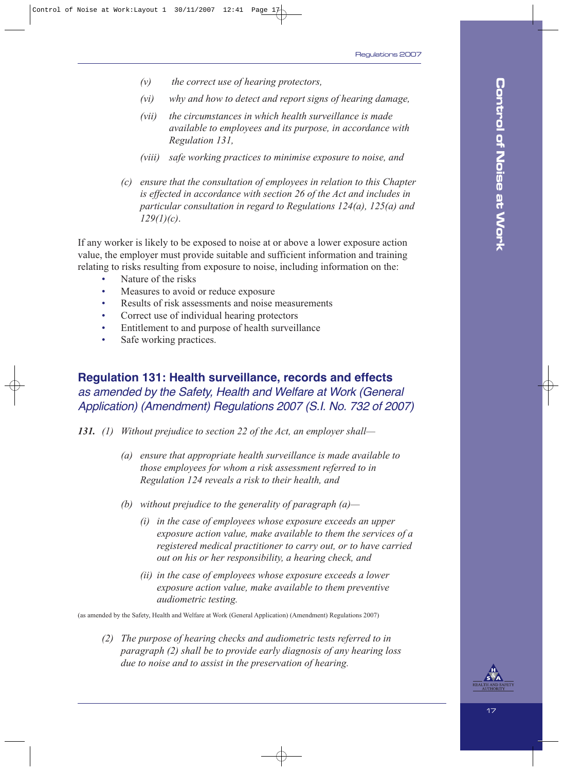- *(v) the correct use of hearing protectors,*
- *(vi) why and how to detect and report signs of hearing damage,*
- *(vii) the circumstances in which health surveillance is made available to employees and its purpose, in accordance with Regulation 131,*
- *(viii) safe working practices to minimise exposure to noise, and*
- *(c) ensure that the consultation of employees in relation to this Chapter is effected in accordance with section 26 of the Act and includes in particular consultation in regard to Regulations 124(a), 125(a) and 129(1)(c)*.

If any worker is likely to be exposed to noise at or above a lower exposure action value, the employer must provide suitable and sufficient information and training relating to risks resulting from exposure to noise, including information on the:

- Nature of the risks
- Measures to avoid or reduce exposure
- Results of risk assessments and noise measurements
- Correct use of individual hearing protectors
- Entitlement to and purpose of health surveillance
- Safe working practices.

#### **Regulation 131: Health surveillance, records and effects** as amended by the Safety, Health and Welfare at Work (General Application) (Amendment) Regulations 2007 (S.I. No. 732 of 2007)

*131. (1) Without prejudice to section 22 of the Act, an employer shall—*

- *(a) ensure that appropriate health surveillance is made available to those employees for whom a risk assessment referred to in Regulation 124 reveals a risk to their health, and*
- *(b) without prejudice to the generality of paragraph (a)—*
	- *(i) in the case of employees whose exposure exceeds an upper exposure action value, make available to them the services of a registered medical practitioner to carry out, or to have carried out on his or her responsibility, a hearing check, and*
	- *(ii) in the case of employees whose exposure exceeds a lower exposure action value, make available to them preventive audiometric testing.*

(as amended by the Safety, Health and Welfare at Work (General Application) (Amendment) Regulations 2007)

*(2) The purpose of hearing checks and audiometric tests referred to in paragraph (2) shall be to provide early diagnosis of any hearing loss due to noise and to assist in the preservation of hearing.*

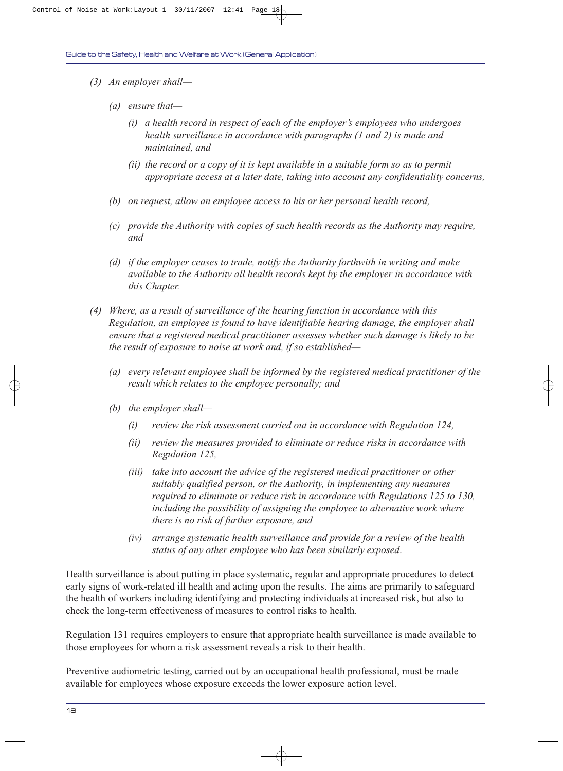- *(3) An employer shall—*
	- *(a) ensure that—*
		- *(i) a health record in respect of each of the employer's employees who undergoes health surveillance in accordance with paragraphs (1 and 2) is made and maintained, and*
		- *(ii) the record or a copy of it is kept available in a suitable form so as to permit appropriate access at a later date, taking into account any confidentiality concerns,*
	- *(b) on request, allow an employee access to his or her personal health record,*
	- *(c) provide the Authority with copies of such health records as the Authority may require, and*
	- *(d) if the employer ceases to trade, notify the Authority forthwith in writing and make available to the Authority all health records kept by the employer in accordance with this Chapter.*
- *(4) Where, as a result of surveillance of the hearing function in accordance with this Regulation, an employee is found to have identifiable hearing damage, the employer shall ensure that a registered medical practitioner assesses whether such damage is likely to be the result of exposure to noise at work and, if so established—*
	- *(a) every relevant employee shall be informed by the registered medical practitioner of the result which relates to the employee personally; and*
	- *(b) the employer shall—*
		- *(i) review the risk assessment carried out in accordance with Regulation 124,*
		- *(ii) review the measures provided to eliminate or reduce risks in accordance with Regulation 125,*
		- *(iii) take into account the advice of the registered medical practitioner or other suitably qualified person, or the Authority, in implementing any measures required to eliminate or reduce risk in accordance with Regulations 125 to 130, including the possibility of assigning the employee to alternative work where there is no risk of further exposure, and*
		- *(iv) arrange systematic health surveillance and provide for a review of the health status of any other employee who has been similarly exposed*.

Health surveillance is about putting in place systematic, regular and appropriate procedures to detect early signs of work-related ill health and acting upon the results. The aims are primarily to safeguard the health of workers including identifying and protecting individuals at increased risk, but also to check the long-term effectiveness of measures to control risks to health.

Regulation 131 requires employers to ensure that appropriate health surveillance is made available to those employees for whom a risk assessment reveals a risk to their health.

Preventive audiometric testing, carried out by an occupational health professional, must be made available for employees whose exposure exceeds the lower exposure action level.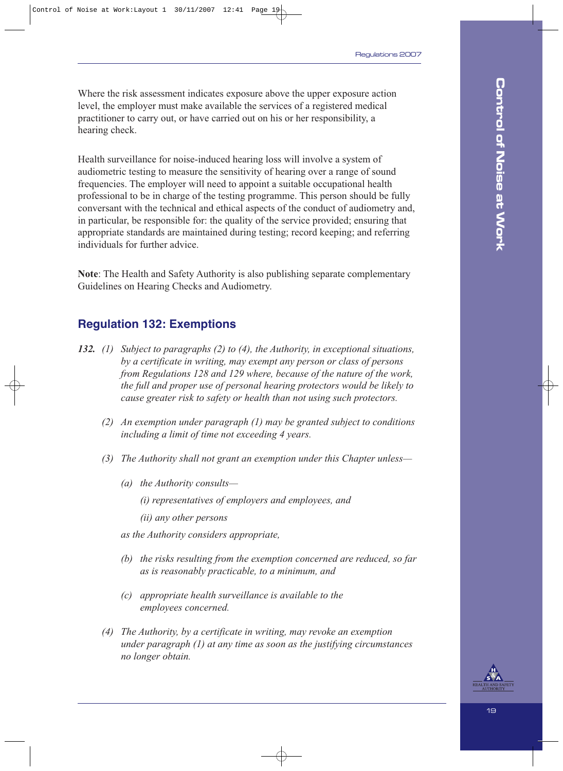Where the risk assessment indicates exposure above the upper exposure action level, the employer must make available the services of a registered medical practitioner to carry out, or have carried out on his or her responsibility, a hearing check.

Health surveillance for noise-induced hearing loss will involve a system of audiometric testing to measure the sensitivity of hearing over a range of sound frequencies. The employer will need to appoint a suitable occupational health professional to be in charge of the testing programme. This person should be fully conversant with the technical and ethical aspects of the conduct of audiometry and, in particular, be responsible for: the quality of the service provided; ensuring that appropriate standards are maintained during testing; record keeping; and referring individuals for further advice.

**Note**: The Health and Safety Authority is also publishing separate complementary Guidelines on Hearing Checks and Audiometry.

#### **Regulation 132: Exemptions**

- *132. (1) Subject to paragraphs (2) to (4), the Authority, in exceptional situations, by a certificate in writing, may exempt any person or class of persons from Regulations 128 and 129 where, because of the nature of the work, the full and proper use of personal hearing protectors would be likely to cause greater risk to safety or health than not using such protectors.*
	- *(2) An exemption under paragraph (1) may be granted subject to conditions including a limit of time not exceeding 4 years.*
	- *(3) The Authority shall not grant an exemption under this Chapter unless—*
		- *(a) the Authority consults—*
			- *(i) representatives of employers and employees, and*
			- *(ii) any other persons*
		- *as the Authority considers appropriate,*
		- *(b) the risks resulting from the exemption concerned are reduced, so far as is reasonably practicable, to a minimum, and*
		- *(c) appropriate health surveillance is available to the employees concerned.*
	- *(4) The Authority, by a certificate in writing, may revoke an exemption under paragraph (1) at any time as soon as the justifying circumstances no longer obtain.*

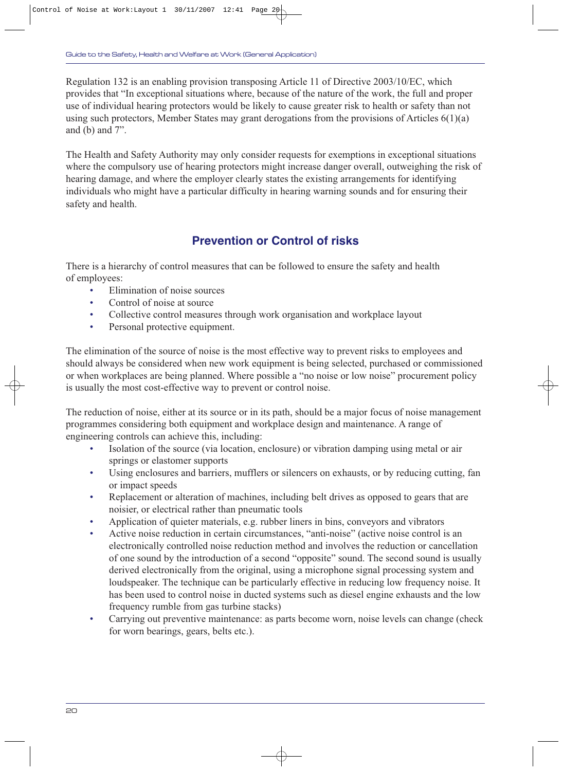Regulation 132 is an enabling provision transposing Article 11 of Directive 2003/10/EC, which provides that "In exceptional situations where, because of the nature of the work, the full and proper use of individual hearing protectors would be likely to cause greater risk to health or safety than not using such protectors, Member States may grant derogations from the provisions of Articles 6(1)(a) and (b) and 7".

The Health and Safety Authority may only consider requests for exemptions in exceptional situations where the compulsory use of hearing protectors might increase danger overall, outweighing the risk of hearing damage, and where the employer clearly states the existing arrangements for identifying individuals who might have a particular difficulty in hearing warning sounds and for ensuring their safety and health.

## **Prevention or Control of risks**

There is a hierarchy of control measures that can be followed to ensure the safety and health of employees:

- Elimination of noise sources
- Control of noise at source
- Collective control measures through work organisation and workplace layout
- Personal protective equipment.

The elimination of the source of noise is the most effective way to prevent risks to employees and should always be considered when new work equipment is being selected, purchased or commissioned or when workplaces are being planned. Where possible a "no noise or low noise" procurement policy is usually the most cost-effective way to prevent or control noise.

The reduction of noise, either at its source or in its path, should be a major focus of noise management programmes considering both equipment and workplace design and maintenance. A range of engineering controls can achieve this, including:

- Isolation of the source (via location, enclosure) or vibration damping using metal or air springs or elastomer supports
- Using enclosures and barriers, mufflers or silencers on exhausts, or by reducing cutting, fan or impact speeds
- Replacement or alteration of machines, including belt drives as opposed to gears that are noisier, or electrical rather than pneumatic tools
- Application of quieter materials, e.g. rubber liners in bins, conveyors and vibrators
- Active noise reduction in certain circumstances, "anti-noise" (active noise control is an electronically controlled noise reduction method and involves the reduction or cancellation of one sound by the introduction of a second "opposite" sound. The second sound is usually derived electronically from the original, using a microphone signal processing system and loudspeaker. The technique can be particularly effective in reducing low frequency noise. It has been used to control noise in ducted systems such as diesel engine exhausts and the low frequency rumble from gas turbine stacks)
- Carrying out preventive maintenance: as parts become worn, noise levels can change (check for worn bearings, gears, belts etc.).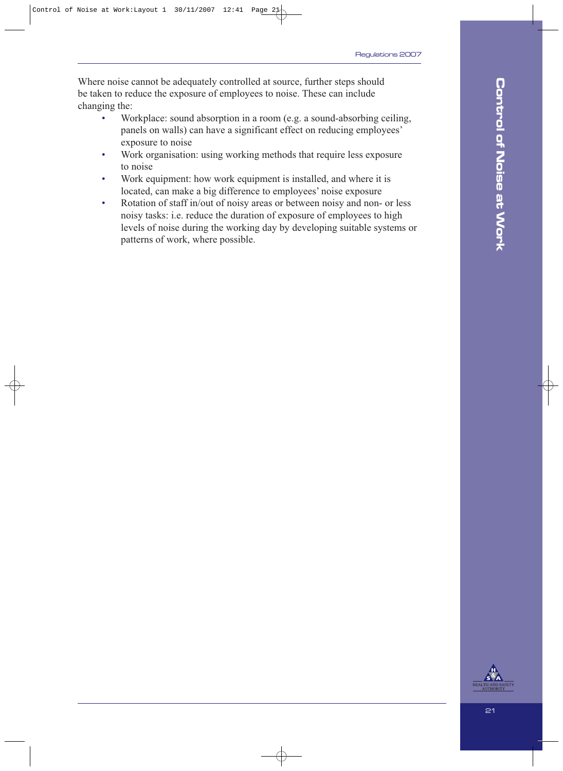Where noise cannot be adequately controlled at source, further steps should be taken to reduce the exposure of employees to noise. These can include changing the:

- Workplace: sound absorption in a room (e.g. a sound-absorbing ceiling, panels on walls) can have a significant effect on reducing employees' exposure to noise
- Work organisation: using working methods that require less exposure to noise
- Work equipment: how work equipment is installed, and where it is located, can make a big difference to employees' noise exposure
- Rotation of staff in/out of noisy areas or between noisy and non- or less noisy tasks: i.e. reduce the duration of exposure of employees to high levels of noise during the working day by developing suitable systems or patterns of work, where possible.

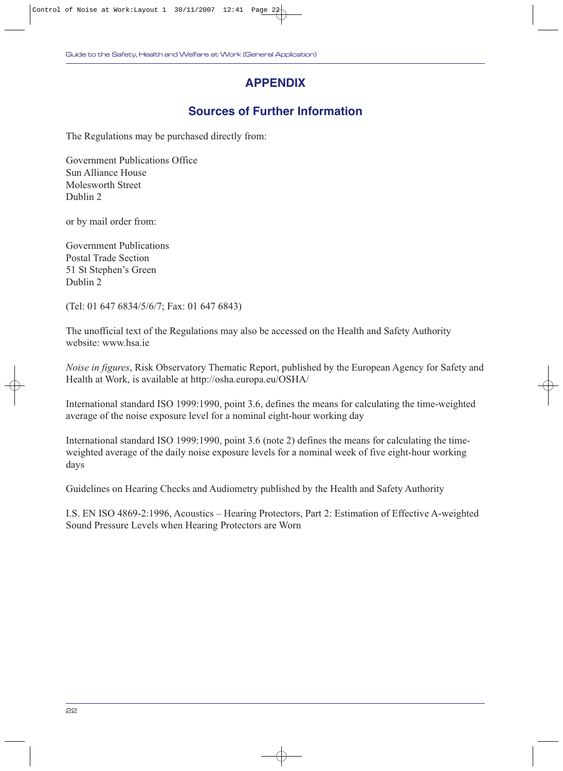## **APPENDIX**

## **Sources of Further Information**

The Regulations may be purchased directly from:

Government Publications Office Sun Alliance House Molesworth Street Dublin 2

or by mail order from:

Government Publications Postal Trade Section 51 St Stephen's Green Dublin 2

(Tel: 01 647 6834/5/6/7; Fax: 01 647 6843)

The unofficial text of the Regulations may also be accessed on the Health and Safety Authority website: www.hsa.ie

*Noise in figures*, Risk Observatory Thematic Report, published by the European Agency for Safety and Health at Work, is available at http://osha.europa.eu/OSHA/

International standard ISO 1999:1990, point 3.6, defines the means for calculating the time-weighted average of the noise exposure level for a nominal eight-hour working day

International standard ISO 1999:1990, point 3.6 (note 2) defines the means for calculating the timeweighted average of the daily noise exposure levels for a nominal week of five eight-hour working days

Guidelines on Hearing Checks and Audiometry published by the Health and Safety Authority

I.S. EN ISO 4869-2:1996, Acoustics – Hearing Protectors, Part 2: Estimation of Effective A-weighted Sound Pressure Levels when Hearing Protectors are Worn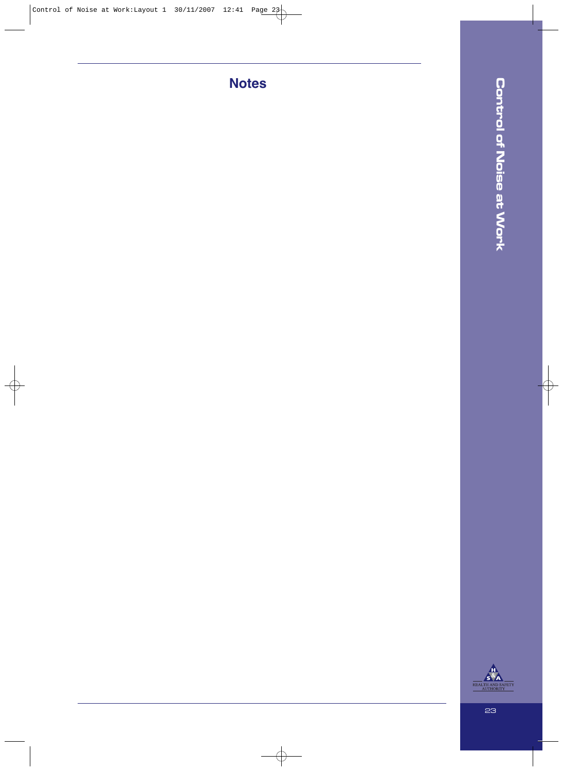**Notes**



23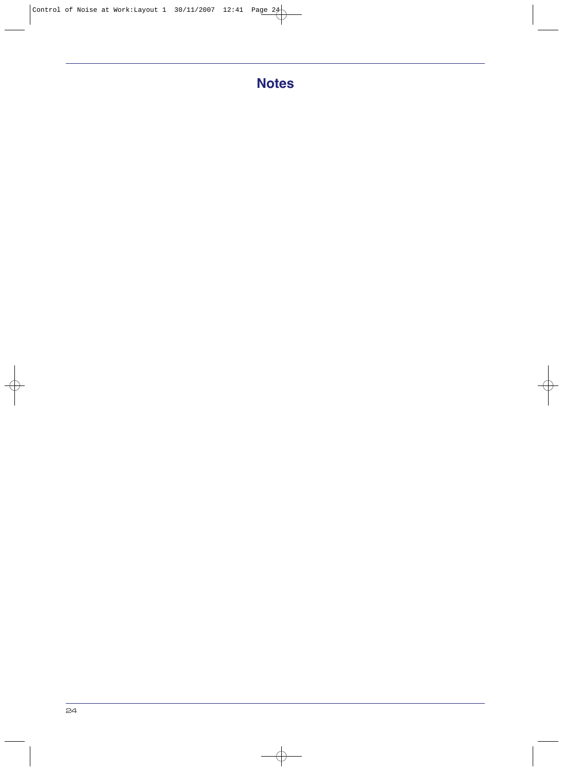## **Notes**